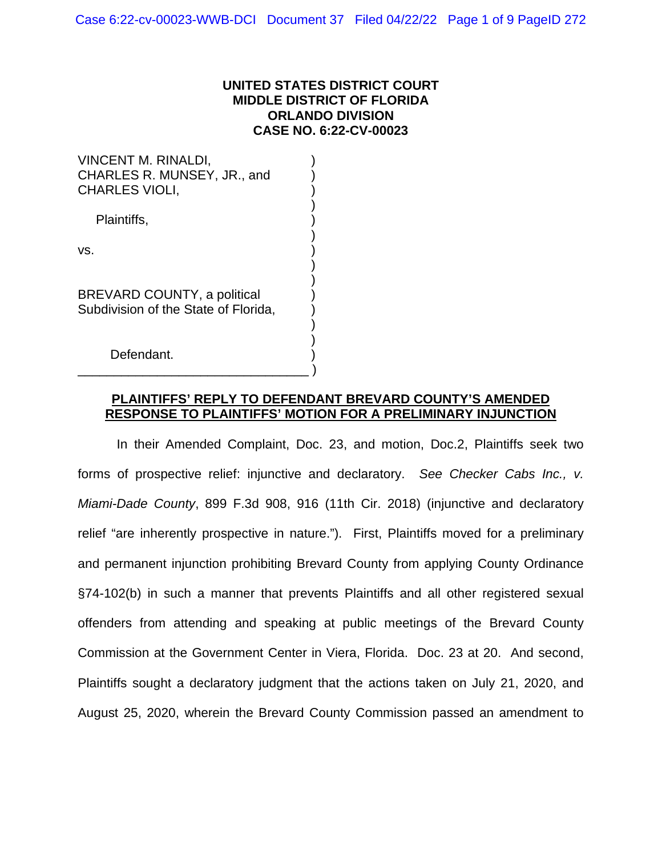### **UNITED STATES DISTRICT COURT MIDDLE DISTRICT OF FLORIDA ORLANDO DIVISION CASE NO. 6:22-CV-00023**

VINCENT M. RINALDI, ) CHARLES R. MUNSEY, JR., and ) CHARLES VIOLI, ) ) Plaintiffs, ) )  $\mathsf{vs.} \hspace{2em} \hspace{2em}$ ) ) BREVARD COUNTY, a political ) Subdivision of the State of Florida, ) ) Defendant. \_\_\_\_\_\_\_\_\_\_\_\_\_\_\_\_\_\_\_\_\_\_\_\_\_\_\_\_\_\_\_\_ )

## **PLAINTIFFS' REPLY TO DEFENDANT BREVARD COUNTY'S AMENDED RESPONSE TO PLAINTIFFS' MOTION FOR A PRELIMINARY INJUNCTION**

In their Amended Complaint, Doc. 23, and motion, Doc.2, Plaintiffs seek two forms of prospective relief: injunctive and declaratory. *See Checker Cabs Inc., v. Miami-Dade County*, 899 F.3d 908, 916 (11th Cir. 2018) (injunctive and declaratory relief "are inherently prospective in nature."). First, Plaintiffs moved for a preliminary and permanent injunction prohibiting Brevard County from applying County Ordinance §74-102(b) in such a manner that prevents Plaintiffs and all other registered sexual offenders from attending and speaking at public meetings of the Brevard County Commission at the Government Center in Viera, Florida. Doc. 23 at 20. And second, Plaintiffs sought a declaratory judgment that the actions taken on July 21, 2020, and August 25, 2020, wherein the Brevard County Commission passed an amendment to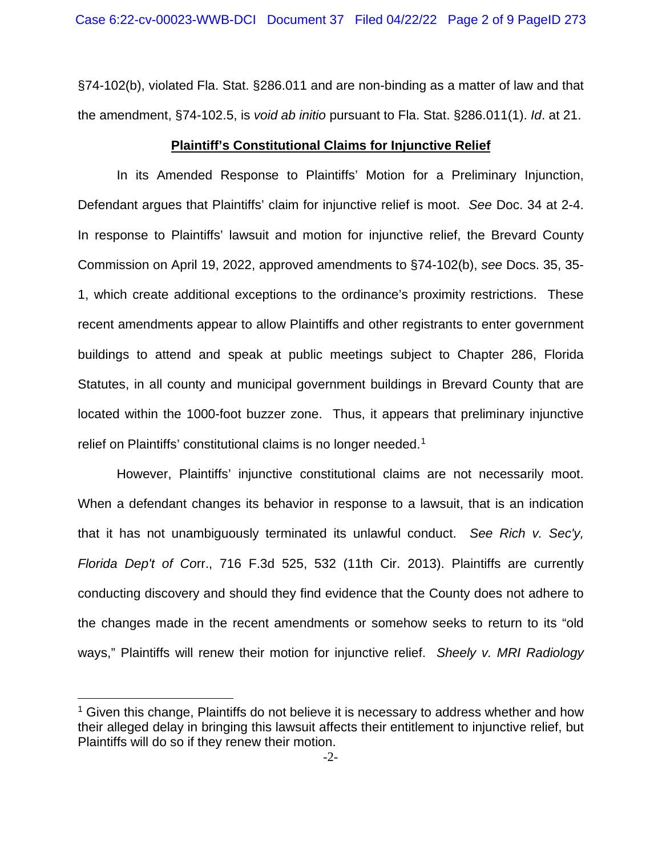§74-102(b), violated Fla. Stat. §286.011 and are non-binding as a matter of law and that the amendment, §74-102.5, is *void ab initio* pursuant to Fla. Stat. §286.011(1). *Id*. at 21.

### **Plaintiff's Constitutional Claims for Injunctive Relief**

In its Amended Response to Plaintiffs' Motion for a Preliminary Injunction, Defendant argues that Plaintiffs' claim for injunctive relief is moot. *See* Doc. 34 at 2-4. In response to Plaintiffs' lawsuit and motion for injunctive relief, the Brevard County Commission on April 19, 2022, approved amendments to §74-102(b), *see* Docs. 35, 35- 1, which create additional exceptions to the ordinance's proximity restrictions. These recent amendments appear to allow Plaintiffs and other registrants to enter government buildings to attend and speak at public meetings subject to Chapter 286, Florida Statutes, in all county and municipal government buildings in Brevard County that are located within the 1000-foot buzzer zone. Thus, it appears that preliminary injunctive relief on Plaintiffs' constitutional claims is no longer needed.<sup>1</sup>

However, Plaintiffs' injunctive constitutional claims are not necessarily moot. When a defendant changes its behavior in response to a lawsuit, that is an indication that it has not unambiguously terminated its unlawful conduct. *See Rich v. Sec'y, Florida Dep't of Co*rr., 716 F.3d 525, 532 (11th Cir. 2013). Plaintiffs are currently conducting discovery and should they find evidence that the County does not adhere to the changes made in the recent amendments or somehow seeks to return to its "old ways," Plaintiffs will renew their motion for injunctive relief. *Sheely v. MRI Radiology* 

<sup>&</sup>lt;sup>1</sup> Given this change, Plaintiffs do not believe it is necessary to address whether and how their alleged delay in bringing this lawsuit affects their entitlement to injunctive relief, but Plaintiffs will do so if they renew their motion.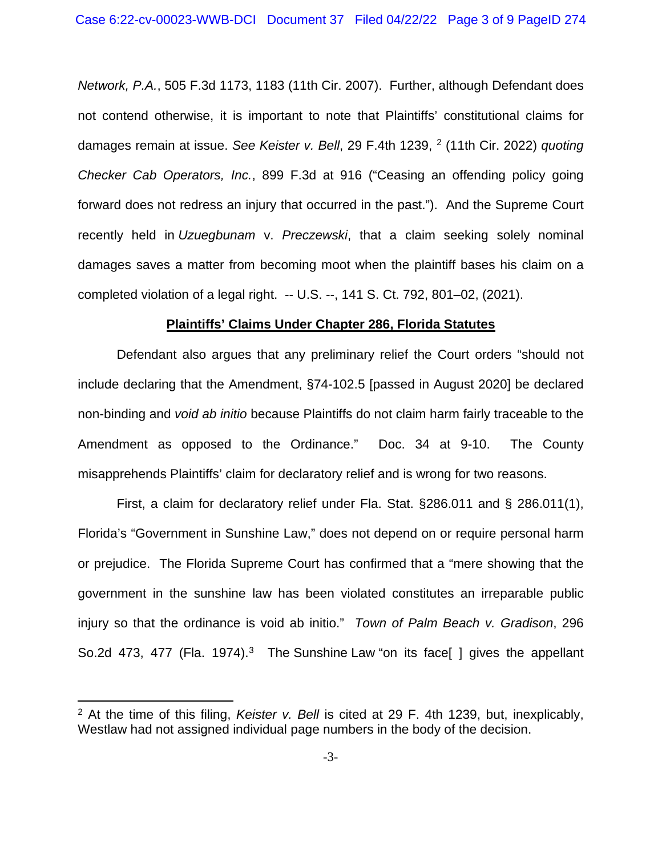*Network, P.A.*, 505 F.3d 1173, 1183 (11th Cir. 2007). Further, although Defendant does not contend otherwise, it is important to note that Plaintiffs' constitutional claims for damages remain at issue. *See Keister v. Bell*, 29 F.4th 1239, [2](#page-4-0) (11th Cir. 2022) *quoting Checker Cab Operators, Inc.*, 899 F.3d at 916 ("Ceasing an offending policy going forward does not redress an injury that occurred in the past."). And the Supreme Court recently held in *Uzuegbunam* v. *Preczewski*, that a claim seeking solely nominal damages saves a matter from becoming moot when the plaintiff bases his claim on a completed violation of a legal right. -- U.S. --, 141 S. Ct. 792, 801–02, (2021).

#### **Plaintiffs' Claims Under Chapter 286, Florida Statutes**

Defendant also argues that any preliminary relief the Court orders "should not include declaring that the Amendment, §74-102.5 [passed in August 2020] be declared non-binding and *void ab initio* because Plaintiffs do not claim harm fairly traceable to the Amendment as opposed to the Ordinance." Doc. 34 at 9-10. The County misapprehends Plaintiffs' claim for declaratory relief and is wrong for two reasons.

First, a claim for declaratory relief under Fla. Stat. §286.011 and § 286.011(1), Florida's "Government in Sunshine Law," does not depend on or require personal harm or prejudice. The Florida Supreme Court has confirmed that a "mere showing that the government in the sunshine law has been violated constitutes an irreparable public injury so that the ordinance is void ab initio." *Town of Palm Beach v. Gradison*, 296 So.2d 473, 477 (Fla. 1974).<sup>3</sup> The Sunshine Law "on its face[ ] gives the appellant

<sup>2</sup> At the time of this filing, *Keister v. Bell* is cited at 29 F. 4th 1239, but, inexplicably, Westlaw had not assigned individual page numbers in the body of the decision.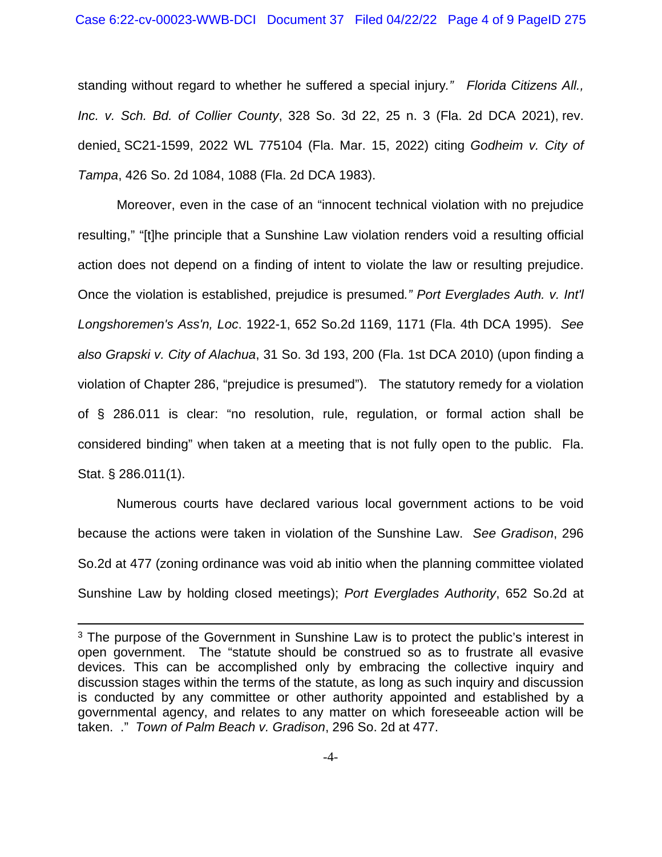standing without regard to whether he suffered a special injury*." Florida Citizens All., Inc. v. Sch. Bd. of Collier County*, 328 So. 3d 22, 25 n. 3 (Fla. 2d DCA 2021), rev. denied, SC21-1599, 2022 WL 775104 (Fla. Mar. 15, 2022) citing *Godheim v. City of Tampa*, 426 So. 2d 1084, 1088 (Fla. 2d DCA 1983).

Moreover, even in the case of an "innocent technical violation with no prejudice resulting," "[t]he principle that a Sunshine Law violation renders void a resulting official action does not depend on a finding of intent to violate the law or resulting prejudice. Once the violation is established, prejudice is presumed*." Port Everglades Auth. v. Int'l Longshoremen's Ass'n, Loc*. 1922-1, 652 So.2d 1169, 1171 (Fla. 4th DCA 1995). *See also Grapski v. City of Alachua*, 31 So. 3d 193, 200 (Fla. 1st DCA 2010) (upon finding a violation of Chapter 286, "prejudice is presumed"). The statutory remedy for a violation of § 286.011 is clear: "no resolution, rule, regulation, or formal action shall be considered binding" when taken at a meeting that is not fully open to the public. Fla. Stat. § 286.011(1).

Numerous courts have declared various local government actions to be void because the actions were taken in violation of the Sunshine Law. *See Gradison*, 296 So.2d at 477 (zoning ordinance was void ab initio when the planning committee violated Sunshine Law by holding closed meetings); *Port Everglades Authority*, 652 So.2d at

<sup>&</sup>lt;sup>3</sup> The purpose of the Government in Sunshine Law is to protect the public's interest in open government. The "statute should be construed so as to frustrate all evasive devices. This can be accomplished only by embracing the collective inquiry and discussion stages within the terms of the statute, as long as such inquiry and discussion is conducted by any committee or other authority appointed and established by a governmental agency, and relates to any matter on which foreseeable action will be taken. ." *Town of Palm Beach v. Gradison*, 296 So. 2d at 477.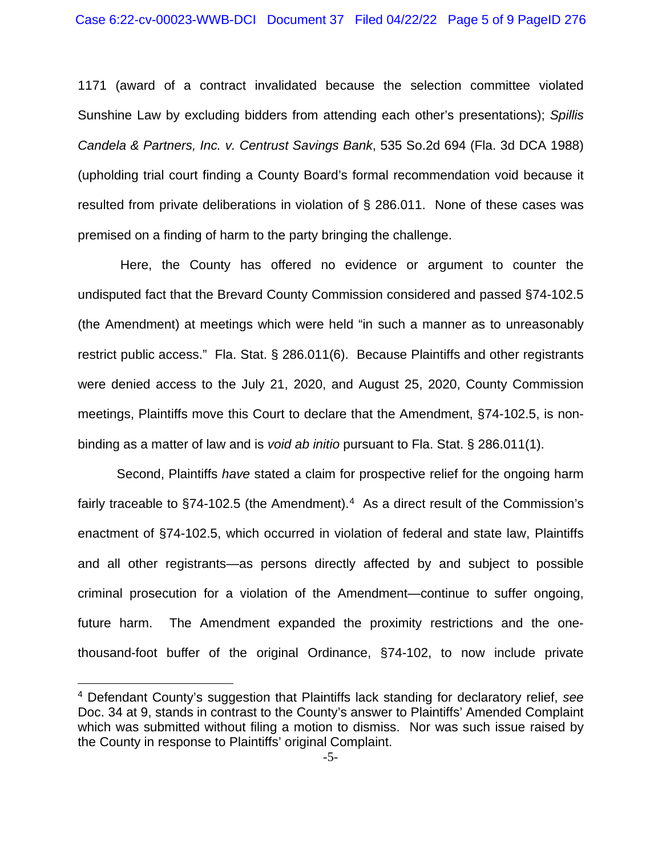1171 (award of a contract invalidated because the selection committee violated Sunshine Law by excluding bidders from attending each other's presentations); *Spillis Candela & Partners, Inc. v. Centrust Savings Bank*, 535 So.2d 694 (Fla. 3d DCA 1988) (upholding trial court finding a County Board's formal recommendation void because it resulted from private deliberations in violation of § 286.011. None of these cases was premised on a finding of harm to the party bringing the challenge.

Here, the County has offered no evidence or argument to counter the undisputed fact that the Brevard County Commission considered and passed §74-102.5 (the Amendment) at meetings which were held "in such a manner as to unreasonably restrict public access." Fla. Stat. § 286.011(6). Because Plaintiffs and other registrants were denied access to the July 21, 2020, and August 25, 2020, County Commission meetings, Plaintiffs move this Court to declare that the Amendment, §74-102.5, is nonbinding as a matter of law and is *void ab initio* pursuant to Fla. Stat. § 286.011(1).

Second, Plaintiffs *have* stated a claim for prospective relief for the ongoing harm fairly traceable to §74-102.5 (the Amendment).<sup>4</sup> As a direct result of the Commission's enactment of §74-102.5, which occurred in violation of federal and state law, Plaintiffs and all other registrants—as persons directly affected by and subject to possible criminal prosecution for a violation of the Amendment—continue to suffer ongoing, future harm. The Amendment expanded the proximity restrictions and the onethousand-foot buffer of the original Ordinance, §74-102, to now include private

<span id="page-4-0"></span><sup>4</sup> Defendant County's suggestion that Plaintiffs lack standing for declaratory relief, *see*  Doc. 34 at 9, stands in contrast to the County's answer to Plaintiffs' Amended Complaint which was submitted without filing a motion to dismiss. Nor was such issue raised by the County in response to Plaintiffs' original Complaint.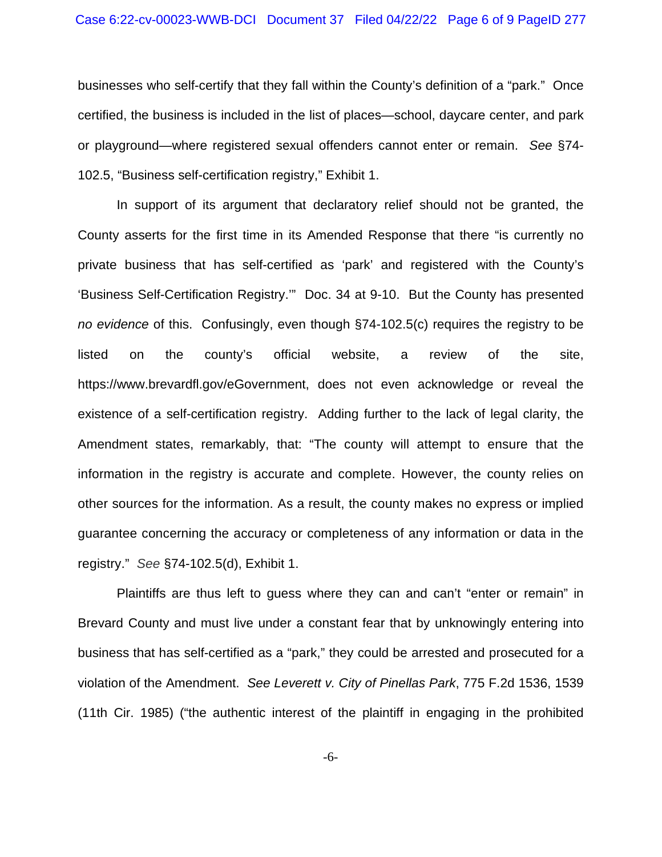businesses who self-certify that they fall within the County's definition of a "park." Once certified, the business is included in the list of places—school, daycare center, and park or playground—where registered sexual offenders cannot enter or remain. *See* §74- 102.5, "Business self-certification registry," Exhibit 1.

In support of its argument that declaratory relief should not be granted, the County asserts for the first time in its Amended Response that there "is currently no private business that has self-certified as 'park' and registered with the County's 'Business Self-Certification Registry.'" Doc. 34 at 9-10. But the County has presented *no evidence* of this. Confusingly, even though §74-102.5(c) requires the registry to be listed on the county's official website, a review of the site, https://www.brevardfl.gov/eGovernment, does not even acknowledge or reveal the existence of a self-certification registry. Adding further to the lack of legal clarity, the Amendment states, remarkably, that: "The county will attempt to ensure that the information in the registry is accurate and complete. However, the county relies on other sources for the information. As a result, the county makes no express or implied guarantee concerning the accuracy or completeness of any information or data in the registry." *See* §74-102.5(d), Exhibit 1.

Plaintiffs are thus left to guess where they can and can't "enter or remain" in Brevard County and must live under a constant fear that by unknowingly entering into business that has self-certified as a "park," they could be arrested and prosecuted for a violation of the Amendment. *See Leverett v. City of Pinellas Park*, 775 F.2d 1536, 1539 (11th Cir. 1985) ("the authentic interest of the plaintiff in engaging in the prohibited

-6-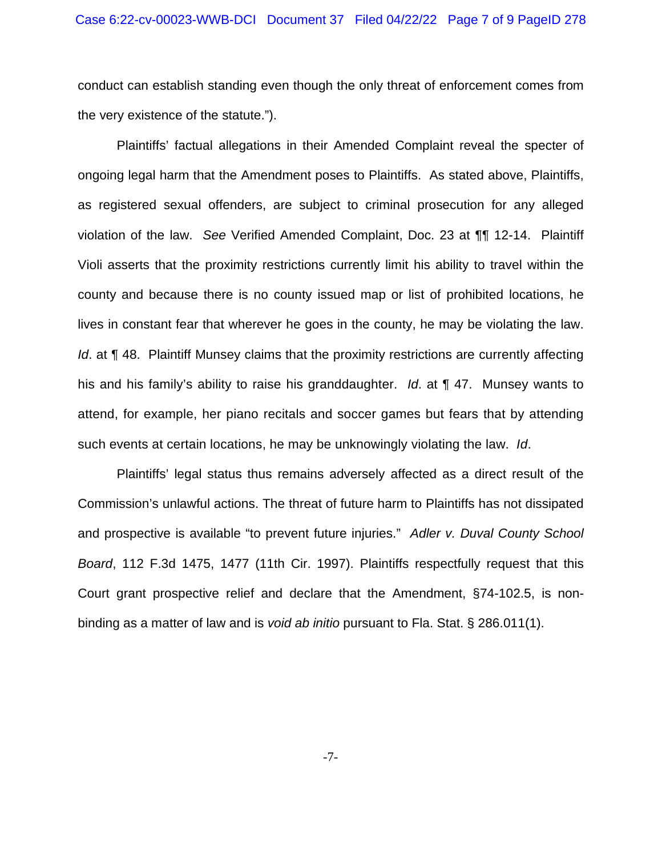conduct can establish standing even though the only threat of enforcement comes from the very existence of the statute.").

Plaintiffs' factual allegations in their Amended Complaint reveal the specter of ongoing legal harm that the Amendment poses to Plaintiffs. As stated above, Plaintiffs, as registered sexual offenders, are subject to criminal prosecution for any alleged violation of the law. *See* Verified Amended Complaint, Doc. 23 at ¶¶ 12-14. Plaintiff Violi asserts that the proximity restrictions currently limit his ability to travel within the county and because there is no county issued map or list of prohibited locations, he lives in constant fear that wherever he goes in the county, he may be violating the law. *Id.* at **[48.** Plaintiff Munsey claims that the proximity restrictions are currently affecting his and his family's ability to raise his granddaughter. *Id*. at ¶ 47. Munsey wants to attend, for example, her piano recitals and soccer games but fears that by attending such events at certain locations, he may be unknowingly violating the law. *Id*.

Plaintiffs' legal status thus remains adversely affected as a direct result of the Commission's unlawful actions. The threat of future harm to Plaintiffs has not dissipated and prospective is available "to prevent future injuries." *Adler v. Duval County School Board*, 112 F.3d 1475, 1477 (11th Cir. 1997). Plaintiffs respectfully request that this Court grant prospective relief and declare that the Amendment, §74-102.5, is nonbinding as a matter of law and is *void ab initio* pursuant to Fla. Stat. § 286.011(1).

-7-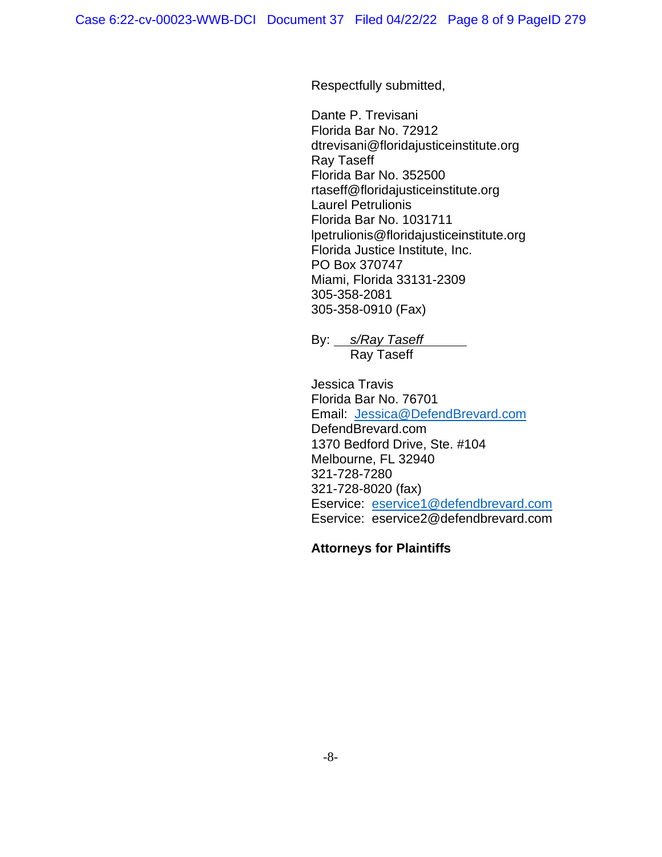Respectfully submitted,

Dante P. Trevisani Florida Bar No. 72912 dtrevisani@floridajusticeinstitute.org Ray Taseff Florida Bar No. 352500 rtaseff@floridajusticeinstitute.org Laurel Petrulionis Florida Bar No. 1031711 lpetrulionis@floridajusticeinstitute.org Florida Justice Institute, Inc. PO Box 370747 Miami, Florida 33131-2309 305-358-2081 305-358-0910 (Fax)

By: *s/Ray Taseff*  Ray Taseff

Jessica Travis Florida Bar No. 76701 Email: [Jessica@DefendBrevard.com](mailto:Jessica@DefendBrevard.com) DefendBrevard.com 1370 Bedford Drive, Ste. #104 Melbourne, FL 32940 [321-728-7280](https://www.google.com/search?q=Jessica+Travis+Melbourne&rlz=1C1GCEU_enUS946US946&oq=Jessica&aqs=chrome.1.69i57j69i59j46i433i512j46i131i433j46i433i512l3j0i433i512j46i433i512l2.3506j1j15&sourceid=chrome&ie=UTF-8) 321-728-8020 (fax) Eservice: [eservice1@defendbrevard.com](mailto:eservice1@defendbrevard.com) Eservice: eservice2@defendbrevard.com

## **Attorneys for Plaintiffs**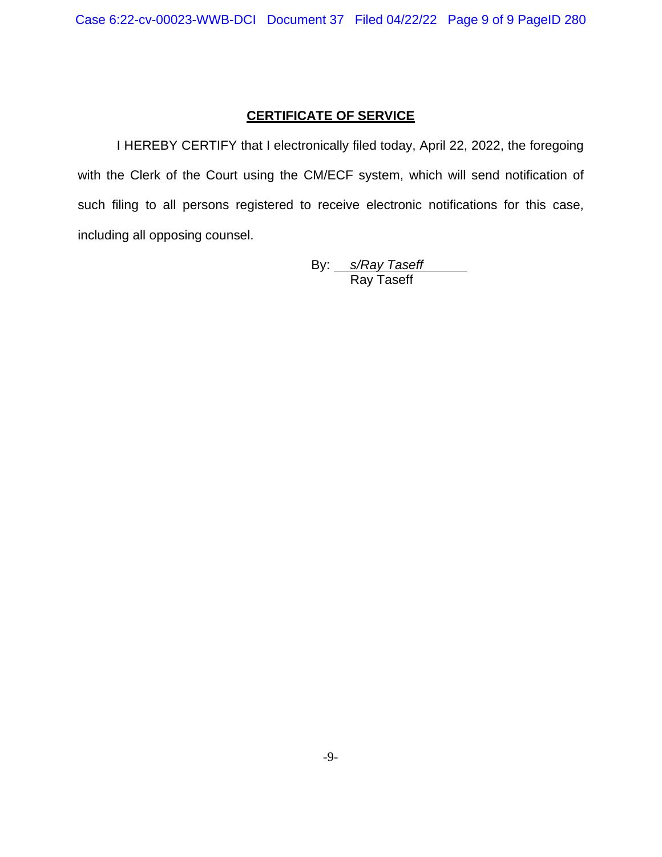## **CERTIFICATE OF SERVICE**

I HEREBY CERTIFY that I electronically filed today, April 22, 2022, the foregoing with the Clerk of the Court using the CM/ECF system, which will send notification of such filing to all persons registered to receive electronic notifications for this case, including all opposing counsel.

By: *s/Ray Taseff*  Ray Taseff